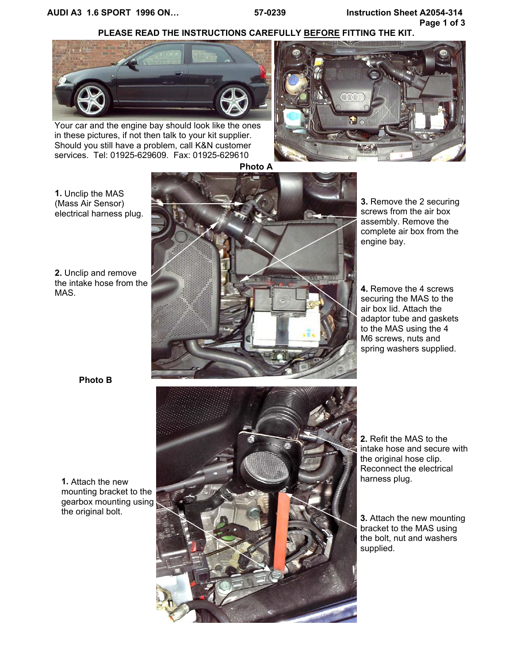# **PLEASE READ THE INSTRUCTIONS CAREFULLY BEFORE FITTING THE KIT.**



Your car and the engine bay should look like the ones in these pictures, if not then talk to your kit supplier. Should you still have a problem, call K&N customer services. Tel: 01925-629609. Fax: 01925-629610





**1.** Unclip the MAS (Mass Air Sensor) electrical harness plug.

**2.** Unclip and remove the intake hose from the MAS.



**3.** Remove the 2 securing screws from the air box assembly. Remove the complete air box from the engine bay.

**4.** Remove the 4 screws securing the MAS to the air box lid. Attach the adaptor tube and gaskets to the MAS using the 4 M6 screws, nuts and spring washers supplied.

**Photo B**

**1.** Attach the new mounting bracket to the gearbox mounting using the original bolt.



**2.** Refit the MAS to the intake hose and secure with the original hose clip. Reconnect the electrical harness plug.

**3.** Attach the new mounting bracket to the MAS using the bolt, nut and washers supplied.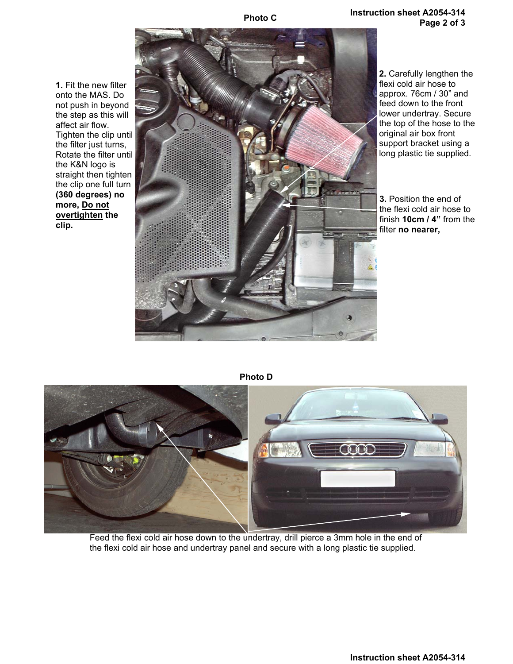**Photo C**

**Instruction sheet A2054-314 Page 2 of 3**

**1.** Fit the new filter onto the MAS. Do not push in beyond the step as this will affect air flow. Tighten the clip until the filter just turns, Rotate the filter until the K&N logo is straight then tighten the clip one full turn **(360 degrees) no more, Do not overtighten the clip.** 



**2.** Carefully lengthen the flexi cold air hose to approx. 76cm / 30" and feed down to the front lower undertray. Secure the top of the hose to the original air box front support bracket using a long plastic tie supplied.

**3.** Position the end of the flexi cold air hose to finish **10cm / 4"** from the filter **no nearer,** 

**Photo D** 



Feed the flexi cold air hose down to the undertray, drill pierce a 3mm hole in the end of the flexi cold air hose and undertray panel and secure with a long plastic tie supplied.